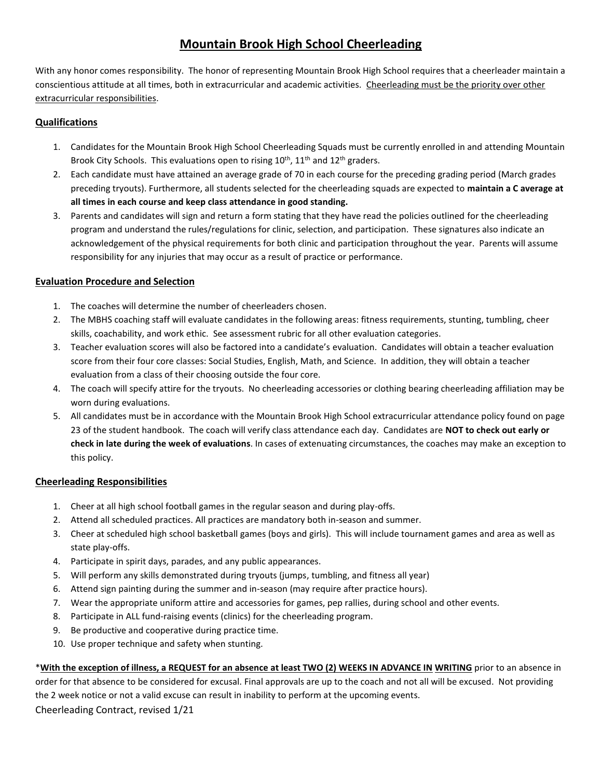### **Mountain Brook High School Cheerleading**

With any honor comes responsibility. The honor of representing Mountain Brook High School requires that a cheerleader maintain a conscientious attitude at all times, both in extracurricular and academic activities. Cheerleading must be the priority over other extracurricular responsibilities.

#### **Qualifications**

- 1. Candidates for the Mountain Brook High School Cheerleading Squads must be currently enrolled in and attending Mountain Brook City Schools. This evaluations open to rising 10<sup>th</sup>, 11<sup>th</sup> and 12<sup>th</sup> graders.
- 2. Each candidate must have attained an average grade of 70 in each course for the preceding grading period (March grades preceding tryouts). Furthermore, all students selected for the cheerleading squads are expected to **maintain a C average at all times in each course and keep class attendance in good standing.**
- 3. Parents and candidates will sign and return a form stating that they have read the policies outlined for the cheerleading program and understand the rules/regulations for clinic, selection, and participation. These signatures also indicate an acknowledgement of the physical requirements for both clinic and participation throughout the year. Parents will assume responsibility for any injuries that may occur as a result of practice or performance.

#### **Evaluation Procedure and Selection**

- 1. The coaches will determine the number of cheerleaders chosen.
- 2. The MBHS coaching staff will evaluate candidates in the following areas: fitness requirements, stunting, tumbling, cheer skills, coachability, and work ethic. See assessment rubric for all other evaluation categories.
- 3. Teacher evaluation scores will also be factored into a candidate's evaluation. Candidates will obtain a teacher evaluation score from their four core classes: Social Studies, English, Math, and Science. In addition, they will obtain a teacher evaluation from a class of their choosing outside the four core.
- 4. The coach will specify attire for the tryouts. No cheerleading accessories or clothing bearing cheerleading affiliation may be worn during evaluations.
- 5. All candidates must be in accordance with the Mountain Brook High School extracurricular attendance policy found on page 23 of the student handbook. The coach will verify class attendance each day. Candidates are **NOT to check out early or check in late during the week of evaluations**. In cases of extenuating circumstances, the coaches may make an exception to this policy.

#### **Cheerleading Responsibilities**

- 1. Cheer at all high school football games in the regular season and during play-offs.
- 2. Attend all scheduled practices. All practices are mandatory both in-season and summer.
- 3. Cheer at scheduled high school basketball games (boys and girls). This will include tournament games and area as well as state play-offs.
- 4. Participate in spirit days, parades, and any public appearances.
- 5. Will perform any skills demonstrated during tryouts (jumps, tumbling, and fitness all year)
- 6. Attend sign painting during the summer and in-season (may require after practice hours).
- 7. Wear the appropriate uniform attire and accessories for games, pep rallies, during school and other events.
- 8. Participate in ALL fund-raising events (clinics) for the cheerleading program.
- 9. Be productive and cooperative during practice time.
- 10. Use proper technique and safety when stunting.

Cheerleading Contract, revised 1/21 \***With the exception of illness, a REQUEST for an absence at least TWO (2) WEEKS IN ADVANCE IN WRITING** prior to an absence in order for that absence to be considered for excusal. Final approvals are up to the coach and not all will be excused. Not providing the 2 week notice or not a valid excuse can result in inability to perform at the upcoming events.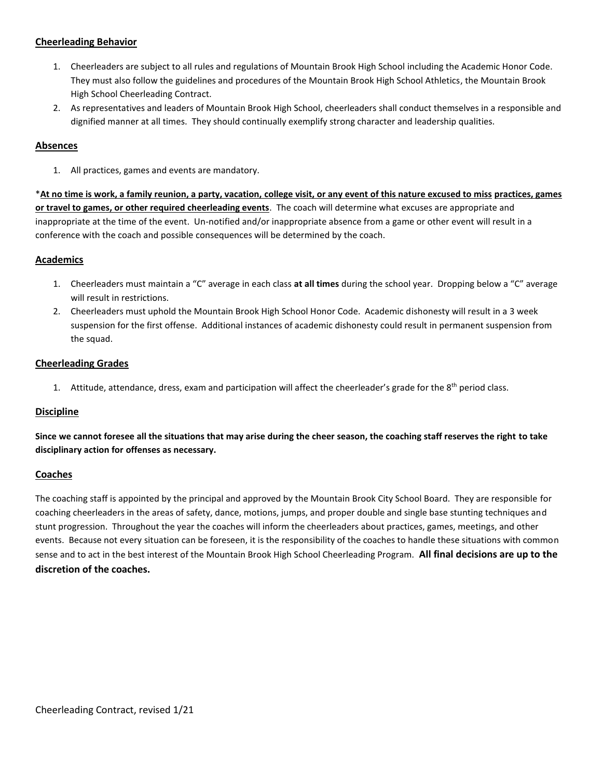#### **Cheerleading Behavior**

- 1. Cheerleaders are subject to all rules and regulations of Mountain Brook High School including the Academic Honor Code. They must also follow the guidelines and procedures of the Mountain Brook High School Athletics, the Mountain Brook High School Cheerleading Contract.
- 2. As representatives and leaders of Mountain Brook High School, cheerleaders shall conduct themselves in a responsible and dignified manner at all times. They should continually exemplify strong character and leadership qualities.

#### **Absences**

1. All practices, games and events are mandatory.

\***At no time is work, a family reunion, a party, vacation, college visit, or any event of this nature excused to miss practices, games or travel to games, or other required cheerleading events**. The coach will determine what excuses are appropriate and inappropriate at the time of the event. Un-notified and/or inappropriate absence from a game or other event will result in a conference with the coach and possible consequences will be determined by the coach.

### **Academics**

- 1. Cheerleaders must maintain a "C" average in each class **at all times** during the school year. Dropping below a "C" average will result in restrictions.
- 2. Cheerleaders must uphold the Mountain Brook High School Honor Code. Academic dishonesty will result in a 3 week suspension for the first offense. Additional instances of academic dishonesty could result in permanent suspension from the squad.

#### **Cheerleading Grades**

1. Attitude, attendance, dress, exam and participation will affect the cheerleader's grade for the 8<sup>th</sup> period class.

#### **Discipline**

**Since we cannot foresee all the situations that may arise during the cheer season, the coaching staff reserves the right to take disciplinary action for offenses as necessary.**

#### **Coaches**

The coaching staff is appointed by the principal and approved by the Mountain Brook City School Board. They are responsible for coaching cheerleaders in the areas of safety, dance, motions, jumps, and proper double and single base stunting techniques and stunt progression. Throughout the year the coaches will inform the cheerleaders about practices, games, meetings, and other events. Because not every situation can be foreseen, it is the responsibility of the coaches to handle these situations with common sense and to act in the best interest of the Mountain Brook High School Cheerleading Program. **All final decisions are up to the discretion of the coaches.**